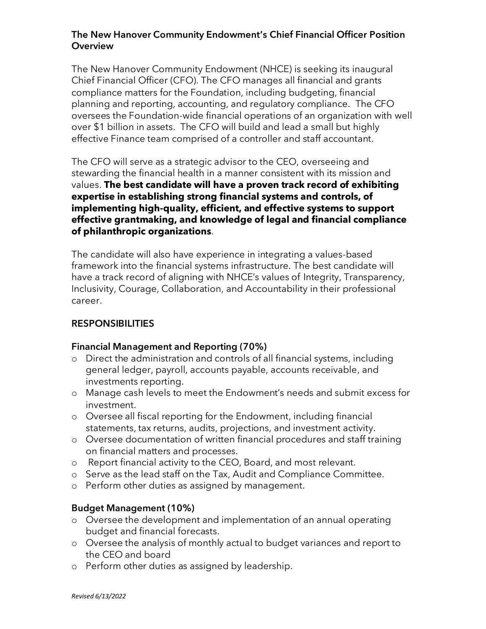# **The New Hanover Community Endowment's Chief Financial Officer Position Overview**

The New Hanover Community Endowment (NHCE) is seeking its inaugural Chief Financial Officer (CFO). The CFO manages all financial and grants compliance matters for the Foundation, including budgeting, financial planning and reporting, accounting, and regulatory compliance. The CFO oversees the Foundation-wide financial operations of an organization with well over \$1 billion in assets. The CFO will build and lead a small but highly effective Finance team comprised of a controller and staff accountant.

The CFO will serve as a strategic advisor to the CEO, overseeing and stewarding the financial health in a manner consistent with its mission and values. **The best candidate will have a proven track record of exhibiting expertise in establishing strong financial systems and controls, of implementing high-quality, efficient, and effective systems to support effective grantmaking, and knowledge of legal and financial compliance of philanthropic organizations**.

The candidate will also have experience in integrating a values-based framework into the financial systems infrastructure. The best candidate will have a track record of aligning with NHCE's values of Integrity, Transparency, Inclusivity, Courage, Collaboration, and Accountability in their professional career.

# **RESPONSIBILITIES**

# **Financial Management and Reporting (70%)**

- o Direct the administration and controls of all financial systems, including general ledger, payroll, accounts payable, accounts receivable, and investments reporting.
- o Manage cash levels to meet the Endowment's needs and submit excess for investment.
- o Oversee all fiscal reporting for the Endowment, including financial statements, tax returns, audits, projections, and investment activity.
- o Oversee documentation of written financial procedures and staff training on financial matters and processes.
- o Report financial activity to the CEO, Board, and most relevant.
- o Serve as the lead staff on the Tax, Audit and Compliance Committee.
- o Perform other duties as assigned by management.

# **Budget Management (10%)**

- o Oversee the development and implementation of an annual operating budget and financial forecasts.
- o Oversee the analysis of monthly actual to budget variances and report to the CEO and board
- o Perform other duties as assigned by leadership.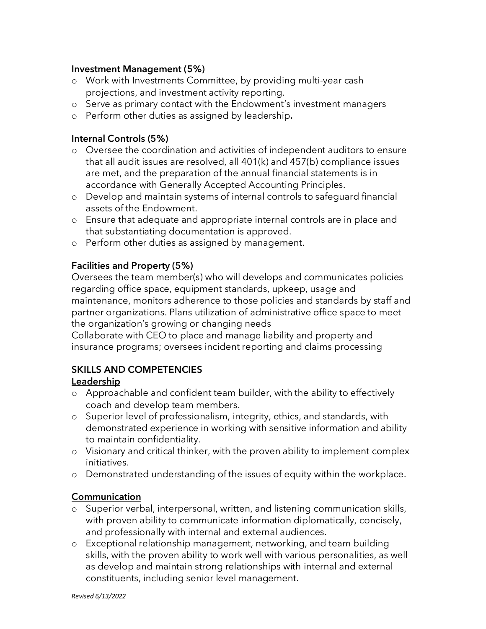### **Investment Management (5%)**

- o Work with Investments Committee, by providing multi-year cash projections, and investment activity reporting.
- o Serve as primary contact with the Endowment's investment managers
- o Perform other duties as assigned by leadership.

### **Internal Controls (5%)**

- o Oversee the coordination and activities of independent auditors to ensure that all audit issues are resolved, all 401(k) and 457(b) compliance issues are met, and the preparation of the annual financial statements is in accordance with Generally Accepted Accounting Principles.
- o Develop and maintain systems of internal controls to safeguard financial assets of the Endowment.
- o Ensure that adequate and appropriate internal controls are in place and that substantiating documentation is approved.
- o Perform other duties as assigned by management.

### Facilities and Property (5%)

Oversees the team member(s) who will develops and communicates policies regarding office space, equipment standards, upkeep, usage and maintenance, monitors adherence to those policies and standards by staff and partner organizations. Plans utilization of administrative office space to meet the organization's growing or changing needs

Collaborate with CEO to place and manage liability and property and insurance programs; oversees incident reporting and claims processing

# **SKILLS AND COMPETENCIES**

#### Leadership

- o Approachable and confident team builder, with the ability to effectively coach and develop team members.
- o Superior level of professionalism, integrity, ethics, and standards, with demonstrated experience in working with sensitive information and ability to maintain confidentiality.
- o Visionary and critical thinker, with the proven ability to implement complex initiatives.
- o Demonstrated understanding of the issues of equity within the workplace.

# Communication

- o Superior verbal, interpersonal, written, and listening communication skills, with proven ability to communicate information diplomatically, concisely, and professionally with internal and external audiences.
- o Exceptional relationship management, networking, and team building skills, with the proven ability to work well with various personalities, as well as develop and maintain strong relationships with internal and external constituents, including senior level management.